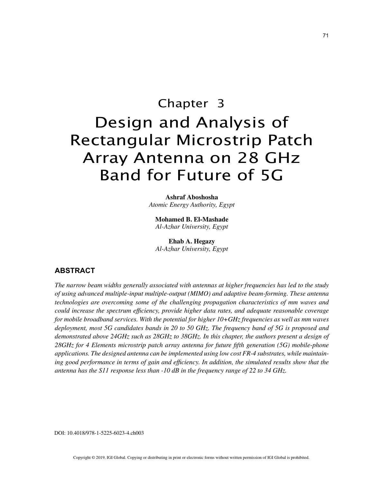# Chapter 3 Design and Analysis of Rectangular Microstrip Patch Array Antenna on 28 GHz Band for Future of 5G

**Ashraf Aboshosha** *Atomic Energy Authority, Egypt*

**Mohamed B. El-Mashade** *Al-Azhar University, Egypt*

**Ehab A. Hegazy** *Al-Azhar University, Egypt*

# **ABSTRACT**

*The narrow beam widths generally associated with antennas at higher frequencies has led to the study of using advanced multiple-input multiple-output (MIMO) and adaptive beam-forming. These antenna technologies are overcoming some of the challenging propagation characteristics of mm waves and could increase the spectrum efficiency, provide higher data rates, and adequate reasonable coverage for mobile broadband services. With the potential for higher 10+GHz frequencies as well as mm waves deployment, most 5G candidates bands in 20 to 50 GHz. The frequency band of 5G is proposed and demonstrated above 24GHz such as 28GHz to 38GHz. In this chapter, the authors present a design of 28GHz for 4 Elements microstrip patch array antenna for future fifth generation (5G) mobile-phone applications. The designed antenna can be implemented using low cost FR-4 substrates, while maintain*ing good performance in terms of gain and efficiency. In addition, the simulated results show that the *antenna has the S11 response less than -10 dB in the frequency range of 22 to 34 GHz.*

DOI: 10.4018/978-1-5225-6023-4.ch003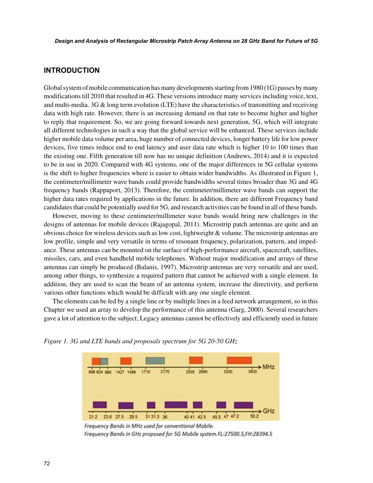## **INTRODUCTION**

Global system of mobile communication has many developments starting from 1980 (1G) passes by many modifications till 2010 that resulted in 4G. These versions introduce many services including voice, text, and multi-media. 3G & long term evolution (LTE) have the characteristics of transmitting and receiving data with high rate. However, there is an increasing demand on that rate to become higher and higher to reply that requirement. So, we are going forward towards next generation, 5G, which will integrate all different technologies in such a way that the global service will be enhanced. These services include higher mobile data volume per area, huge number of connected devices, longer battery life for low power devices, five times reduce end to end latency and user data rate which is higher 10 to 100 times than the existing one. Fifth generation till now has no unique definition (Andrews, 2014) and it is expected to be in use in 2020. Compared with 4G systems, one of the major differences in 5G cellular systems is the shift to higher frequencies where is easier to obtain wider bandwidths. As illustrated in Figure 1, the centimeter/millimeter wave bands could provide bandwidths several times broader than 3G and 4G frequency bands (Rappaport, 2013). Therefore, the centimeter/millimeter wave bands can support the higher data rates required by applications in the future. In addition, there are different Frequency band candidates that could be potentially used for 5G, and research activities can be found in all of these bands.

However, moving to these centimeter/millimeter wave bands would bring new challenges in the designs of antennas for mobile devices (Rajagopal, 2011). Microstrip patch antennas are quite and an obvious choice for wireless devices such as low cost, lightweight & volume. The microstrip antennas are low profile, simple and very versatile in terms of resonant frequency, polarization, pattern, and impedance. These antennas can be mounted on the surface of high-performance aircraft, spacecraft, satellites, missiles, cars, and even handheld mobile telephones. Without major modification and arrays of these antennas can simply be produced (Balanis, 1997). Microstrip antennas are very versatile and are used, among other things, to synthesize a required pattern that cannot be achieved with a single element. In addition, they are used to scan the beam of an antenna system, increase the directivity, and perform various other functions which would be difficult with any one single element.

The elements can be fed by a single line or by multiple lines in a feed network arrangement, so in this Chapter we used an array to develop the performance of this antenna (Garg, 2000). Several researchers gave a lot of attention to the subject; Legacy antennas cannot be effectively and efficiently used in future



*Figure 1. 3G and LTE bands and proposals spectrum for 5G 20-50 GHz*

Frequency Bands in MHz used for conventional Mobile. Frequency Bands in GHz proposed for 5G Mobile system.FL:27500.5,FH:28394.5